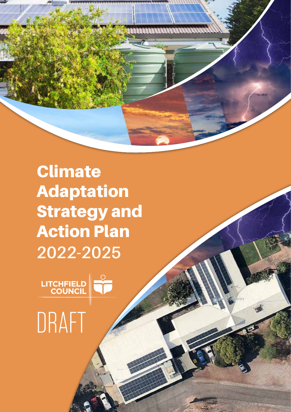

Climate Adaptation Strategy and Action Plan **2022-2025**



# DRAFT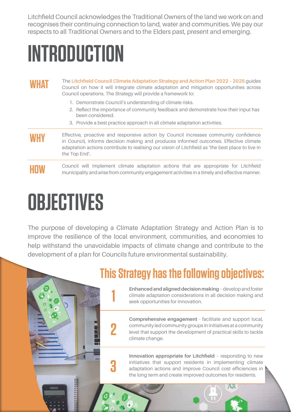Litchfield Council acknowledges the Traditional Owners of the land we work on and recognises their continuing connection to land, water and communities. We pay our respects to all Traditional Owners and to the Elders past, present and emerging.

## **Introduction**

#### WHAT The Litchfield Council Climate Adaptation Strategy and Action Plan 2022 - 2025 guides<br>
Council on how it will integrate climate adaptation and mitigation opportunities across Council operations. The Strategy will provide a framework to:

- 1. Demonstrate Council's understanding of climate risks.
- 2. Reflect the importance of community feedback and demonstrate how their input has been considered.
- 3. Provide a best practice approach in all climate adaptation activities.

#### **WHY** Effective, proactive and responsive action by Council increases community confidence in Council, informs decision making and produces informed outcomes. Effective climate adaptation actions contribute to realising our vision of Litchfield as 'the best place to live in the Top End'.

### **HOW** Council will implement climate adaptation actions that are appropriate for Litchfield municipality and arise from community engagement activities in a timely and effective manner.

## **Objectives**

The purpose of developing a Climate Adaptation Strategy and Action Plan is to improve the resilience of the local environment, communities, and economies to help withstand the unavoidable impacts of climate change and contribute to the development of a plan for Councils future environmental sustainability.

**2**

**3**

## **This Strategy has the following objectives:**

**1 Enhanced and aligned decision making** – develop and foster climate adaptation considerations in all decision making and seek opportunities for innovation. climate adaptation considerations in all decision making and seek opportunities for innovation.

> **Comprehensive engagement** - facilitate and support local, community led community groups in initiatives at a community level that support the development of practical skills to tackle climate change.

**Innovation appropriate for Litchfield** – responding to new initiatives that support residents in implementing climate adaptation actions and improve Council cost efficiencies in the long term and create improved outcomes for residents.

风顺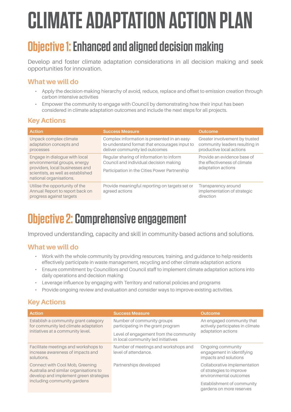# **Climate Adaptation Action Plan**

## **Objective 1: Enhanced and aligned decision making**

Develop and foster climate adaptation considerations in all decision making and seek opportunities for innovation.

#### **What we will do**

- • Apply the decision-making hierarchy of avoid, reduce, replace and offset to emission creation through carbon intensive activities
- Empower the community to engage with Council by demonstrating how their input has been considered in climate adaptation outcomes and include the next steps for all projects.

#### **Key Actions**

| <b>Action</b>                                                                                                                                                     | <b>Success Measure</b>                                                                                                              | <b>Outcome</b>                                                                               |
|-------------------------------------------------------------------------------------------------------------------------------------------------------------------|-------------------------------------------------------------------------------------------------------------------------------------|----------------------------------------------------------------------------------------------|
| Unpack complex climate<br>adaptation concepts and<br>processes                                                                                                    | Complex information is presented in an easy-<br>to-understand format that encourages input to<br>deliver community led outcomes     | Greater involvement by trusted<br>community leaders resulting in<br>productive local actions |
| Engage in dialogue with local<br>environmental groups, energy<br>providers, local businesses and<br>scientists, as well as established<br>national organisations. | Regular sharing of information to inform<br>Council and individual decision making<br>Participation in the Cities Power Partnership | Provide an evidence base of<br>the effectiveness of climate<br>adaptation actions            |
| Utilise the opportunity of the<br>Annual Report to report back on<br>progress against targets                                                                     | Provide meaningful reporting on targets set or<br>agreed actions                                                                    | Transparency around<br>implementation of strategic<br>direction                              |

## **Objective 2: Comprehensive engagement**

Improved understanding, capacity and skill in community-based actions and solutions.

#### **What we will do**

- Work with the whole community by providing resources, training, and guidance to help residents effectively participate in waste management, recycling and other climate adaptation actions
- • Ensure commitment by Councillors and Council staff to implement climate adaptation actions into daily operations and decision making
- • Leverage influence by engaging with Territory and national policies and programs
- • Provide ongoing review and evaluation and consider ways to improve existing activities.

#### **Key Actions**

| <b>Action</b>                                                                                                       | <b>Success Measure</b>                                                       | <b>Outcome</b>                                                                      |
|---------------------------------------------------------------------------------------------------------------------|------------------------------------------------------------------------------|-------------------------------------------------------------------------------------|
| Establish a community grant category<br>for community led climate adaptation                                        | Number of community groups<br>participating in the grant program             | An engaged community that<br>actively participates in climate<br>adaptation actions |
| initiatives at a community level.                                                                                   | Level of engagement from the community<br>in local community led initiatives |                                                                                     |
| Facilitate meetings and workshops to<br>increase awareness of impacts and<br>solutions.                             | Number of meetings and workshops and<br>level of attendance.                 | Ongoing community<br>engagement in identifying<br>impacts and solutions             |
| Connect with Cool Mob, Greening<br>Australia and similar organisations to<br>develop and implement green strategies | Partnerships developed                                                       | Collaborative implementation<br>of strategies to improve<br>environmental outcomes  |
| including community gardens                                                                                         |                                                                              | Establishment of community<br>gardens on more reserves                              |